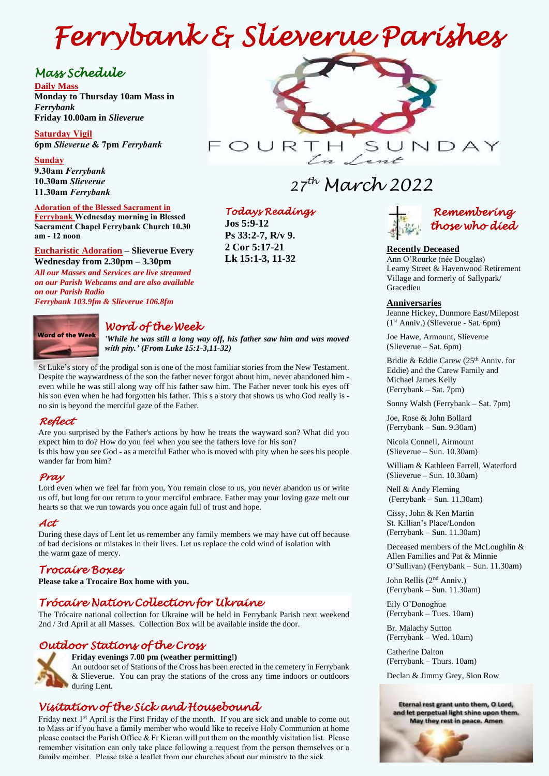# *Ferrybank & Slieverue Parishes*

## *Mass Schedule*

**Daily Mass Monday to Thursday 10am Mass in**  *Ferrybank*  **Friday 10.00am in** *Slieverue*

**Saturday Vigil 6pm** *Slieverue* **& 7pm** *Ferrybank*

#### **Sunday**

**9.30am** *Ferrybank*  **10.30am** *Slieverue*  **11.30am** *Ferrybank*

## **Adoration of the Blessed Sacrament in**

**Ferrybank Wednesday morning in Blessed Sacrament Chapel Ferrybank Church 10.30 am - 12 noon**

**Eucharistic Adoration – Slieverue Every Wednesday from 2.30pm – 3.30pm**

 *All our Masses and Services are live streamed*   *on our Parish Webcams and are also available*   *Ferrybank 103.9fm & Slieverue 106.8fmon our Parish Radio*

Word of the Week

## *Word of the Week*

*'While he was still a long way off, his father saw him and was moved with pity.' (From Luke 15:1-3,11-32)*

St Luke's story of the prodigal son is one of the most familiar stories from the New Testament. Despite the waywardness of the son the father never forgot about him, never abandoned him even while he was still along way off his father saw him. The Father never took his eyes off his son even when he had forgotten his father. This s a story that shows us who God really is no sin is beyond the merciful gaze of the Father.

## *Reflect*

Are you surprised by the Father's actions by how he treats the wayward son? What did you expect him to do? How do you feel when you see the fathers love for his son? Is this how you see God - as a merciful Father who is moved with pity when he sees his people wander far from him?

## *Pray*

Lord even when we feel far from you, You remain close to us, you never abandon us or write us off, but long for our return to your merciful embrace. Father may your loving gaze melt our hearts so that we run towards you once again full of trust and hope.

## *Act*

During these days of Lent let us remember any family members we may have cut off because of bad decisions or mistakes in their lives. Let us replace the cold wind of isolation with the warm gaze of mercy.

## *Trocaire Boxes*

**Please take a Trocaire Box home with you.** 

## *Trócaire Nation Collection for Ukraine*

The Trócaire national collection for Ukraine will be held in Ferrybank Parish next weekend 2nd / 3rd April at all Masses. Collection Box will be available inside the door.

## *Outdoor Stations of the Cross*



**Friday evenings 7.00 pm (weather permitting!)**

An outdoor set of Stations of the Cross has been erected in the cemetery in Ferrybank & Slieverue. You can pray the stations of the cross any time indoors or outdoors during Lent.

## *Visitation of the Sick and Housebound*

Friday next 1<sup>st</sup> April is the First Friday of the month. If you are sick and unable to come out to Mass or if you have a family member who would like to receive Holy Communion at home please contact the Parish Office & Fr Kieran will put them on the monthly visitation list. Please remember visitation can only take place following a request from the person themselves or a family member. Please take a leaflet from our churches about our ministry to the sick.



## *27 th March 2022*

## *Todays Readings*

**Jos 5:9-12 Ps 33:2-7, R/v 9. 2 Cor 5:17-21 Lk 15:1-3, 11-32**



#### **Recently Deceased**

Ann O'Rourke (née Douglas) Leamy Street & Havenwood Retirement Village and formerly of Sallypark/ Gracedieu

#### **Anniversaries**

Jeanne Hickey, Dunmore East/Milepost (1st Anniv.) (Slieverue - Sat. 6pm)

Joe Hawe, Armount, Slieverue (Slieverue – Sat. 6pm)

Bridie & Eddie Carew (25<sup>th</sup> Anniv. for Eddie) and the Carew Family and Michael James Kelly (Ferrybank – Sat. 7pm)

Sonny Walsh (Ferrybank – Sat. 7pm)

Joe, Rose & John Bollard (Ferrybank – Sun. 9.30am)

Nicola Connell, Airmount (Slieverue – Sun. 10.30am)

William & Kathleen Farrell, Waterford (Slieverue – Sun. 10.30am)

Nell & Andy Fleming (Ferrybank – Sun. 11.30am)

Cissy, John & Ken Martin St. Killian's Place/London (Ferrybank – Sun. 11.30am)

Deceased members of the McLoughlin & Allen Families and Pat & Minnie O'Sullivan) (Ferrybank – Sun. 11.30am)

John Rellis (2nd Anniv.) (Ferrybank – Sun. 11.30am)

Eily O'Donoghue (Ferrybank – Tues. 10am)

Br. Malachy Sutton (Ferrybank – Wed. 10am)

Catherine Dalton (Ferrybank – Thurs. 10am)

Declan & Jimmy Grey, Sion Row

#### Eternal rest grant unto them, O Lord, and let perpetual light shine upon them. May they rest in peace. Amen